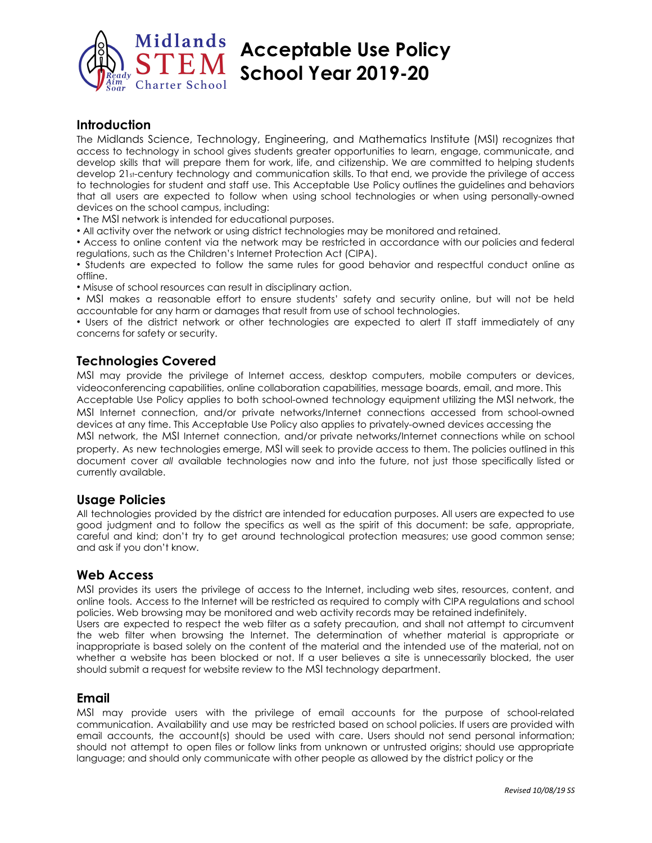

## **Introduction**

The Midlands Science, Technology, Engineering, and Mathematics Institute (MSI) recognizes that access to technology in school gives students greater opportunities to learn, engage, communicate, and develop skills that will prepare them for work, life, and citizenship. We are committed to helping students develop 21st-century technology and communication skills. To that end, we provide the privilege of access to technologies for student and staff use. This Acceptable Use Policy outlines the guidelines and behaviors that all users are expected to follow when using school technologies or when using personally-owned devices on the school campus, including:

• The MSI network is intended for educational purposes.

• All activity over the network or using district technologies may be monitored and retained.

• Access to online content via the network may be restricted in accordance with our policies and federal regulations, such as the Children's Internet Protection Act (CIPA).

• Students are expected to follow the same rules for good behavior and respectful conduct online as offline.

• Misuse of school resources can result in disciplinary action.

• MSI makes a reasonable effort to ensure students' safety and security online, but will not be held accountable for any harm or damages that result from use of school technologies.

• Users of the district network or other technologies are expected to alert IT staff immediately of any concerns for safety or security.

## **Technologies Covered**

MSI may provide the privilege of Internet access, desktop computers, mobile computers or devices, videoconferencing capabilities, online collaboration capabilities, message boards, email, and more. This Acceptable Use Policy applies to both school-owned technology equipment utilizing the MSI network, the MSI Internet connection, and/or private networks/Internet connections accessed from school-owned devices at any time. This Acceptable Use Policy also applies to privately-owned devices accessing the MSI network, the MSI Internet connection, and/or private networks/Internet connections while on school property. As new technologies emerge, MSI will seek to provide access to them. The policies outlined in this document cover *all* available technologies now and into the future, not just those specifically listed or currently available.

## **Usage Policies**

All technologies provided by the district are intended for education purposes. All users are expected to use good judgment and to follow the specifics as well as the spirit of this document: be safe, appropriate, careful and kind; don't try to get around technological protection measures; use good common sense; and ask if you don't know.

## **Web Access**

MSI provides its users the privilege of access to the Internet, including web sites, resources, content, and online tools. Access to the Internet will be restricted as required to comply with CIPA regulations and school policies. Web browsing may be monitored and web activity records may be retained indefinitely. Users are expected to respect the web filter as a safety precaution, and shall not attempt to circumvent the web filter when browsing the Internet. The determination of whether material is appropriate or inappropriate is based solely on the content of the material and the intended use of the material, not on whether a website has been blocked or not. If a user believes a site is unnecessarily blocked, the user should submit a request for website review to the MSI technology department.

## **Email**

MSI may provide users with the privilege of email accounts for the purpose of school-related communication. Availability and use may be restricted based on school policies. If users are provided with email accounts, the account(s) should be used with care. Users should not send personal information; should not attempt to open files or follow links from unknown or untrusted origins; should use appropriate language; and should only communicate with other people as allowed by the district policy or the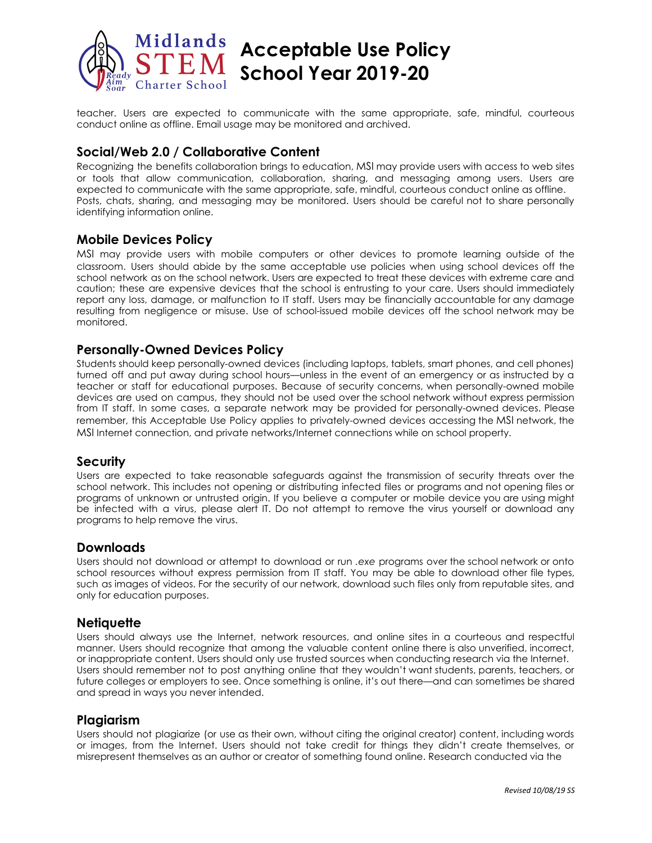

teacher. Users are expected to communicate with the same appropriate, safe, mindful, courteous conduct online as offline. Email usage may be monitored and archived.

## **Social/Web 2.0 / Collaborative Content**

Recognizing the benefits collaboration brings to education, MSI may provide users with access to web sites or tools that allow communication, collaboration, sharing, and messaging among users. Users are expected to communicate with the same appropriate, safe, mindful, courteous conduct online as offline. Posts, chats, sharing, and messaging may be monitored. Users should be careful not to share personally identifying information online.

## **Mobile Devices Policy**

MSI may provide users with mobile computers or other devices to promote learning outside of the classroom. Users should abide by the same acceptable use policies when using school devices off the school network as on the school network. Users are expected to treat these devices with extreme care and caution; these are expensive devices that the school is entrusting to your care. Users should immediately report any loss, damage, or malfunction to IT staff. Users may be financially accountable for any damage resulting from negligence or misuse. Use of school-issued mobile devices off the school network may be monitored.

### **Personally-Owned Devices Policy**

Students should keep personally-owned devices (including laptops, tablets, smart phones, and cell phones) turned off and put away during school hours—unless in the event of an emergency or as instructed by a teacher or staff for educational purposes. Because of security concerns, when personally-owned mobile devices are used on campus, they should not be used over the school network without express permission from IT staff. In some cases, a separate network may be provided for personally-owned devices. Please remember, this Acceptable Use Policy applies to privately-owned devices accessing the MSI network, the MSI Internet connection, and private networks/Internet connections while on school property.

#### **Security**

Users are expected to take reasonable safeguards against the transmission of security threats over the school network. This includes not opening or distributing infected files or programs and not opening files or programs of unknown or untrusted origin. If you believe a computer or mobile device you are using might be infected with a virus, please alert IT. Do not attempt to remove the virus yourself or download any programs to help remove the virus.

#### **Downloads**

Users should not download or attempt to download or run *.exe* programs over the school network or onto school resources without express permission from IT staff. You may be able to download other file types, such as images of videos. For the security of our network, download such files only from reputable sites, and only for education purposes.

#### **Netiquette**

Users should always use the Internet, network resources, and online sites in a courteous and respectful manner. Users should recognize that among the valuable content online there is also unverified, incorrect, or inappropriate content. Users should only use trusted sources when conducting research via the Internet. Users should remember not to post anything online that they wouldn't want students, parents, teachers, or future colleges or employers to see. Once something is online, it's out there—and can sometimes be shared and spread in ways you never intended.

#### **Plagiarism**

Users should not plagiarize (or use as their own, without citing the original creator) content, including words or images, from the Internet. Users should not take credit for things they didn't create themselves, or misrepresent themselves as an author or creator of something found online. Research conducted via the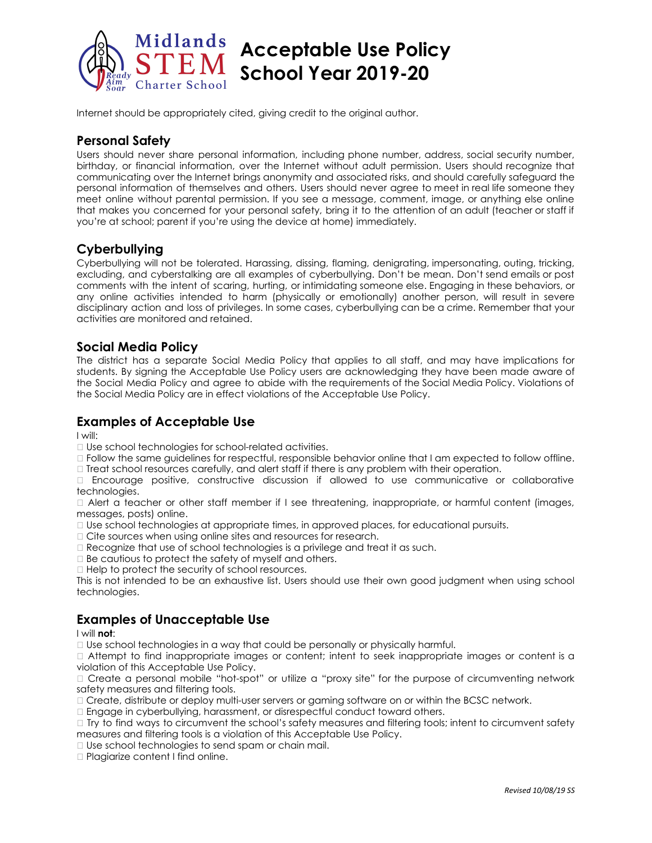

Internet should be appropriately cited, giving credit to the original author.

## **Personal Safety**

Users should never share personal information, including phone number, address, social security number, birthday, or financial information, over the Internet without adult permission. Users should recognize that communicating over the Internet brings anonymity and associated risks, and should carefully safeguard the personal information of themselves and others. Users should never agree to meet in real life someone they meet online without parental permission. If you see a message, comment, image, or anything else online that makes you concerned for your personal safety, bring it to the attention of an adult (teacher or staff if you're at school; parent if you're using the device at home) immediately.

## **Cyberbullying**

Cyberbullying will not be tolerated. Harassing, dissing, flaming, denigrating, impersonating, outing, tricking, excluding, and cyberstalking are all examples of cyberbullying. Don't be mean. Don't send emails or post comments with the intent of scaring, hurting, or intimidating someone else. Engaging in these behaviors, or any online activities intended to harm (physically or emotionally) another person, will result in severe disciplinary action and loss of privileges. In some cases, cyberbullying can be a crime. Remember that your activities are monitored and retained.

## **Social Media Policy**

The district has a separate Social Media Policy that applies to all staff, and may have implications for students. By signing the Acceptable Use Policy users are acknowledging they have been made aware of the Social Media Policy and agree to abide with the requirements of the Social Media Policy. Violations of the Social Media Policy are in effect violations of the Acceptable Use Policy.

## **Examples of Acceptable Use**

I will:

□ Use school technologies for school-related activities.

 Follow the same guidelines for respectful, responsible behavior online that I am expected to follow offline.  $\Box$  Treat school resources carefully, and alert staff if there is any problem with their operation.

 Encourage positive, constructive discussion if allowed to use communicative or collaborative technologies.

 Alert a teacher or other staff member if I see threatening, inappropriate, or harmful content (images, messages, posts) online.

Use school technologies at appropriate times, in approved places, for educational pursuits.

□ Cite sources when using online sites and resources for research.

 $\Box$  Recognize that use of school technologies is a privilege and treat it as such.

 $\Box$  Be cautious to protect the safety of myself and others.

 $\Box$  Help to protect the security of school resources.

This is not intended to be an exhaustive list. Users should use their own good judgment when using school technologies.

## **Examples of Unacceptable Use**

#### I will **not**:

Use school technologies in a way that could be personally or physically harmful.

 Attempt to find inappropriate images or content; intent to seek inappropriate images or content is a violation of this Acceptable Use Policy.

 Create a personal mobile "hot-spot" or utilize a "proxy site" for the purpose of circumventing network safety measures and filtering tools.

 $\Box$  Create, distribute or deploy multi-user servers or gaming software on or within the BCSC network.

Engage in cyberbullying, harassment, or disrespectful conduct toward others.

□ Try to find ways to circumvent the school's safety measures and filtering tools; intent to circumvent safety measures and filtering tools is a violation of this Acceptable Use Policy.

□ Use school technologies to send spam or chain mail.

□ Plagiarize content I find online.